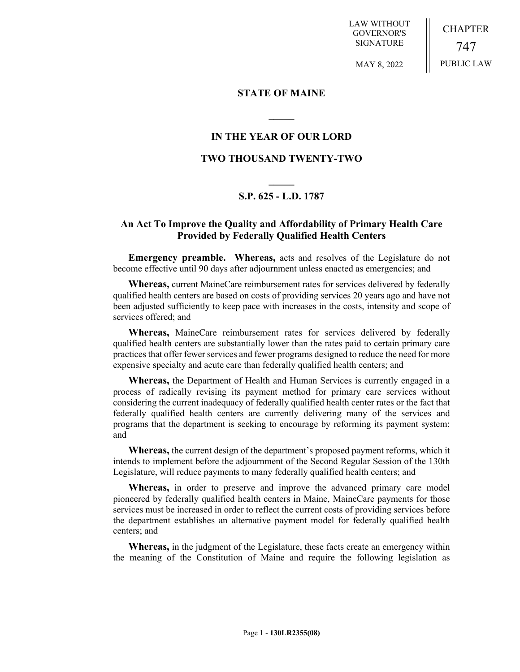LAW WITHOUT GOVERNOR'S SIGNATURE

CHAPTER 747 PUBLIC LAW

MAY 8, 2022

## **STATE OF MAINE**

# **IN THE YEAR OF OUR LORD**

**\_\_\_\_\_**

## **TWO THOUSAND TWENTY-TWO**

# **\_\_\_\_\_ S.P. 625 - L.D. 1787**

# **An Act To Improve the Quality and Affordability of Primary Health Care Provided by Federally Qualified Health Centers**

**Emergency preamble. Whereas,** acts and resolves of the Legislature do not become effective until 90 days after adjournment unless enacted as emergencies; and

**Whereas,** current MaineCare reimbursement rates for services delivered by federally qualified health centers are based on costs of providing services 20 years ago and have not been adjusted sufficiently to keep pace with increases in the costs, intensity and scope of services offered; and

**Whereas,** MaineCare reimbursement rates for services delivered by federally qualified health centers are substantially lower than the rates paid to certain primary care practices that offer fewer services and fewer programs designed to reduce the need for more expensive specialty and acute care than federally qualified health centers; and

**Whereas,** the Department of Health and Human Services is currently engaged in a process of radically revising its payment method for primary care services without considering the current inadequacy of federally qualified health center rates or the fact that federally qualified health centers are currently delivering many of the services and programs that the department is seeking to encourage by reforming its payment system; and

**Whereas,** the current design of the department's proposed payment reforms, which it intends to implement before the adjournment of the Second Regular Session of the 130th Legislature, will reduce payments to many federally qualified health centers; and

**Whereas,** in order to preserve and improve the advanced primary care model pioneered by federally qualified health centers in Maine, MaineCare payments for those services must be increased in order to reflect the current costs of providing services before the department establishes an alternative payment model for federally qualified health centers; and

**Whereas,** in the judgment of the Legislature, these facts create an emergency within the meaning of the Constitution of Maine and require the following legislation as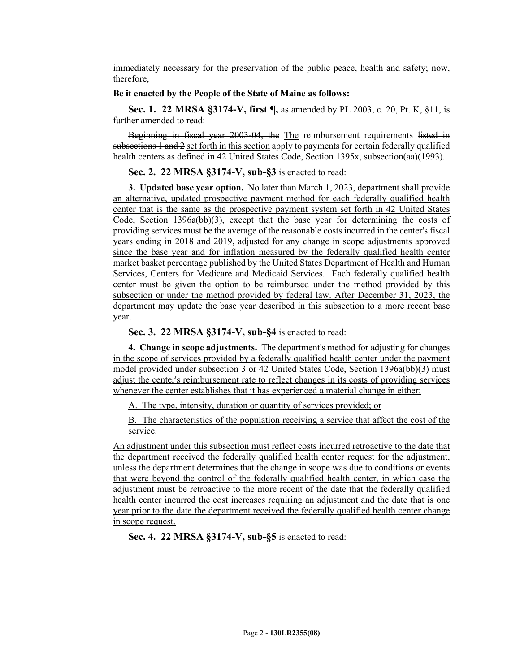immediately necessary for the preservation of the public peace, health and safety; now, therefore,

### **Be it enacted by the People of the State of Maine as follows:**

**Sec. 1. 22 MRSA §3174-V, first ¶,** as amended by PL 2003, c. 20, Pt. K, §11, is further amended to read:

Beginning in fiscal year 2003-04, the The reimbursement requirements listed in subsections 1 and 2 set forth in this section apply to payments for certain federally qualified health centers as defined in 42 United States Code, Section 1395x, subsection(aa)(1993).

### **Sec. 2. 22 MRSA §3174-V, sub-§3** is enacted to read:

**3. Updated base year option.** No later than March 1, 2023, department shall provide an alternative, updated prospective payment method for each federally qualified health center that is the same as the prospective payment system set forth in 42 United States Code, Section 1396a(bb)(3), except that the base year for determining the costs of providing services must be the average of the reasonable costs incurred in the center's fiscal years ending in 2018 and 2019, adjusted for any change in scope adjustments approved since the base year and for inflation measured by the federally qualified health center market basket percentage published by the United States Department of Health and Human Services, Centers for Medicare and Medicaid Services. Each federally qualified health center must be given the option to be reimbursed under the method provided by this subsection or under the method provided by federal law. After December 31, 2023, the department may update the base year described in this subsection to a more recent base year.

**Sec. 3. 22 MRSA §3174-V, sub-§4** is enacted to read:

**4. Change in scope adjustments.** The department's method for adjusting for changes in the scope of services provided by a federally qualified health center under the payment model provided under subsection 3 or 42 United States Code, Section 1396a(bb)(3) must adjust the center's reimbursement rate to reflect changes in its costs of providing services whenever the center establishes that it has experienced a material change in either:

A. The type, intensity, duration or quantity of services provided; or

B. The characteristics of the population receiving a service that affect the cost of the service.

An adjustment under this subsection must reflect costs incurred retroactive to the date that the department received the federally qualified health center request for the adjustment, unless the department determines that the change in scope was due to conditions or events that were beyond the control of the federally qualified health center, in which case the adjustment must be retroactive to the more recent of the date that the federally qualified health center incurred the cost increases requiring an adjustment and the date that is one year prior to the date the department received the federally qualified health center change in scope request.

**Sec. 4. 22 MRSA §3174-V, sub-§5** is enacted to read: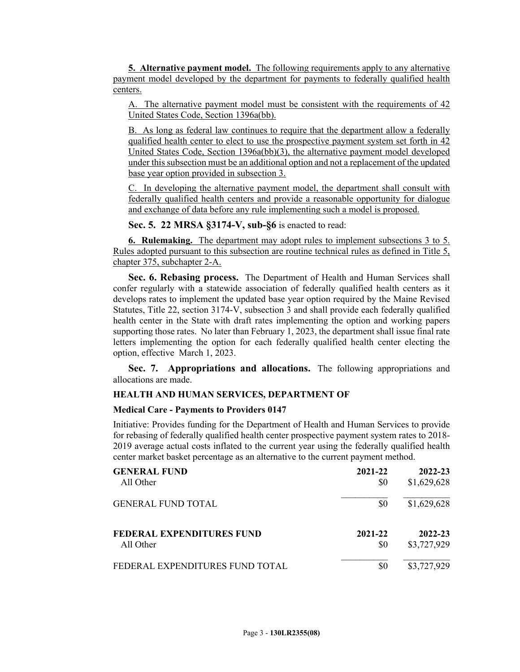**5. Alternative payment model.** The following requirements apply to any alternative payment model developed by the department for payments to federally qualified health centers.

A. The alternative payment model must be consistent with the requirements of 42 United States Code, Section 1396a(bb).

B. As long as federal law continues to require that the department allow a federally qualified health center to elect to use the prospective payment system set forth in 42 United States Code, Section 1396a(bb)(3), the alternative payment model developed under this subsection must be an additional option and not a replacement of the updated base year option provided in subsection 3.

C. In developing the alternative payment model, the department shall consult with federally qualified health centers and provide a reasonable opportunity for dialogue and exchange of data before any rule implementing such a model is proposed.

**Sec. 5. 22 MRSA §3174-V, sub-§6** is enacted to read:

**6. Rulemaking.** The department may adopt rules to implement subsections 3 to 5. Rules adopted pursuant to this subsection are routine technical rules as defined in Title 5, chapter 375, subchapter 2-A.

**Sec. 6. Rebasing process.** The Department of Health and Human Services shall confer regularly with a statewide association of federally qualified health centers as it develops rates to implement the updated base year option required by the Maine Revised Statutes, Title 22, section 3174-V, subsection 3 and shall provide each federally qualified health center in the State with draft rates implementing the option and working papers supporting those rates. No later than February 1, 2023, the department shall issue final rate letters implementing the option for each federally qualified health center electing the option, effective March 1, 2023.

**Sec. 7. Appropriations and allocations.** The following appropriations and allocations are made.

### **HEALTH AND HUMAN SERVICES, DEPARTMENT OF**

### **Medical Care - Payments to Providers 0147**

Initiative: Provides funding for the Department of Health and Human Services to provide for rebasing of federally qualified health center prospective payment system rates to 2018- 2019 average actual costs inflated to the current year using the federally qualified health center market basket percentage as an alternative to the current payment method.

| <b>GENERAL FUND</b>              | 2021-22 | 2022-23     |
|----------------------------------|---------|-------------|
| All Other                        | \$0     | \$1,629,628 |
| <b>GENERAL FUND TOTAL</b>        | \$0     | \$1,629,628 |
| <b>FEDERAL EXPENDITURES FUND</b> | 2021-22 | 2022-23     |
| All Other                        | \$0     | \$3,727,929 |
| FEDERAL EXPENDITURES FUND TOTAL  | \$0     | \$3,727,929 |